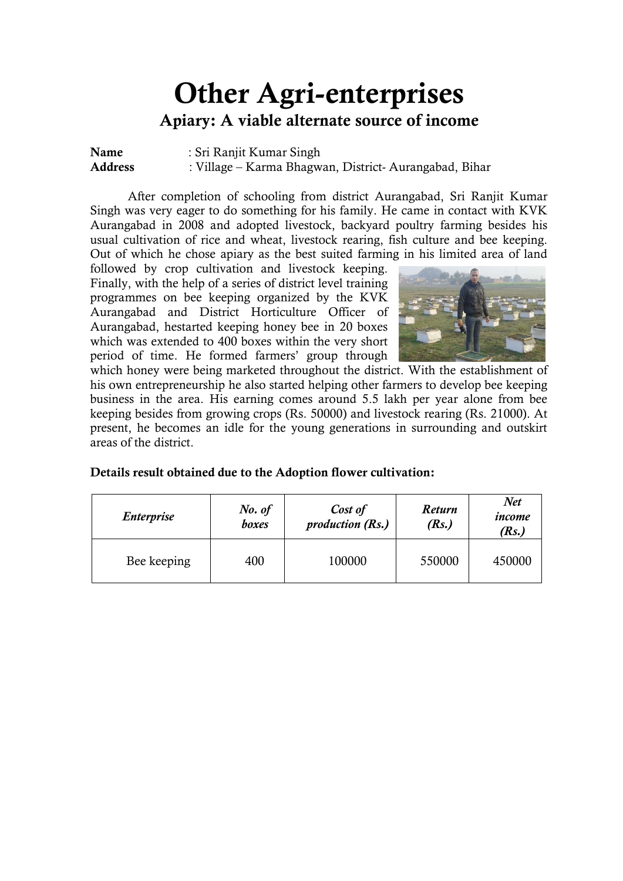# **Other Agri-enterprises Apiary: A viable alternate source of income**

**Name** : Sri Ranjit Kumar Singh **Address** : Village – Karma Bhagwan, District- Aurangabad, Bihar

After completion of schooling from district Aurangabad, Sri Ranjit Kumar Singh was very eager to do something for his family. He came in contact with KVK Aurangabad in 2008 and adopted livestock, backyard poultry farming besides his usual cultivation of rice and wheat, livestock rearing, fish culture and bee keeping. Out of which he chose apiary as the best suited farming in his limited area of land

followed by crop cultivation and livestock keeping. Finally, with the help of a series of district level training programmes on bee keeping organized by the KVK Aurangabad and District Horticulture Officer of Aurangabad, hestarted keeping honey bee in 20 boxes which was extended to 400 boxes within the very short period of time. He formed farmers' group through



which honey were being marketed throughout the district. With the establishment of his own entrepreneurship he also started helping other farmers to develop bee keeping business in the area. His earning comes around 5.5 lakh per year alone from bee keeping besides from growing crops (Rs. 50000) and livestock rearing (Rs. 21000). At present, he becomes an idle for the young generations in surrounding and outskirt areas of the district.

| Details result obtained due to the Adoption flower cultivation: |  |
|-----------------------------------------------------------------|--|
|-----------------------------------------------------------------|--|

| <i><b>Enterprise</b></i> | No. of<br>boxes | Cost of<br><i>production</i> (Rs.) | <b>Return</b><br>(Rs.) | Net<br>income<br>( $Rs.$ ) |
|--------------------------|-----------------|------------------------------------|------------------------|----------------------------|
| Bee keeping              | 400             | 100000                             | 550000                 | 450000                     |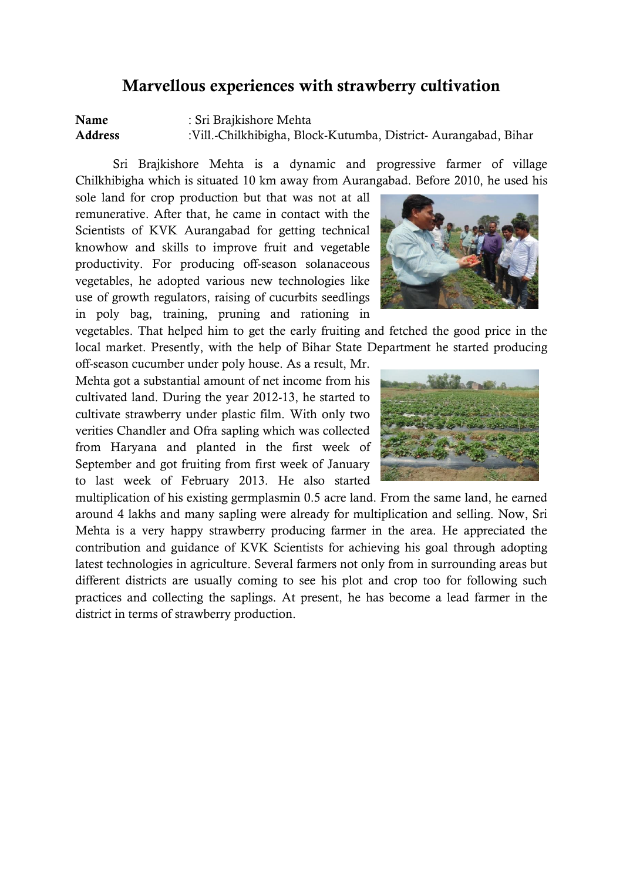#### **Marvellous experiences with strawberry cultivation**

**Name** : Sri Brajkishore Mehta **Address** :Vill.-Chilkhibigha, Block-Kutumba, District- Aurangabad, Bihar

Sri Brajkishore Mehta is a dynamic and progressive farmer of village Chilkhibigha which is situated 10 km away from Aurangabad. Before 2010, he used his

sole land for crop production but that was not at all remunerative. After that, he came in contact with the Scientists of KVK Aurangabad for getting technical knowhow and skills to improve fruit and vegetable productivity. For producing off-season solanaceous vegetables, he adopted various new technologies like use of growth regulators, raising of cucurbits seedlings in poly bag, training, pruning and rationing in

vegetables. That helped him to get the early fruiting and fetched the good price in the local market. Presently, with the help of Bihar State Department he started producing

off-season cucumber under poly house. As a result, Mr. Mehta got a substantial amount of net income from his cultivated land. During the year 2012-13, he started to cultivate strawberry under plastic film. With only two verities Chandler and Ofra sapling which was collected from Haryana and planted in the first week of September and got fruiting from first week of January to last week of February 2013. He also started

multiplication of his existing germplasmin 0.5 acre land. From the same land, he earned around 4 lakhs and many sapling were already for multiplication and selling. Now, Sri Mehta is a very happy strawberry producing farmer in the area. He appreciated the contribution and guidance of KVK Scientists for achieving his goal through adopting latest technologies in agriculture. Several farmers not only from in surrounding areas but different districts are usually coming to see his plot and crop too for following such practices and collecting the saplings. At present, he has become a lead farmer in the district in terms of strawberry production.



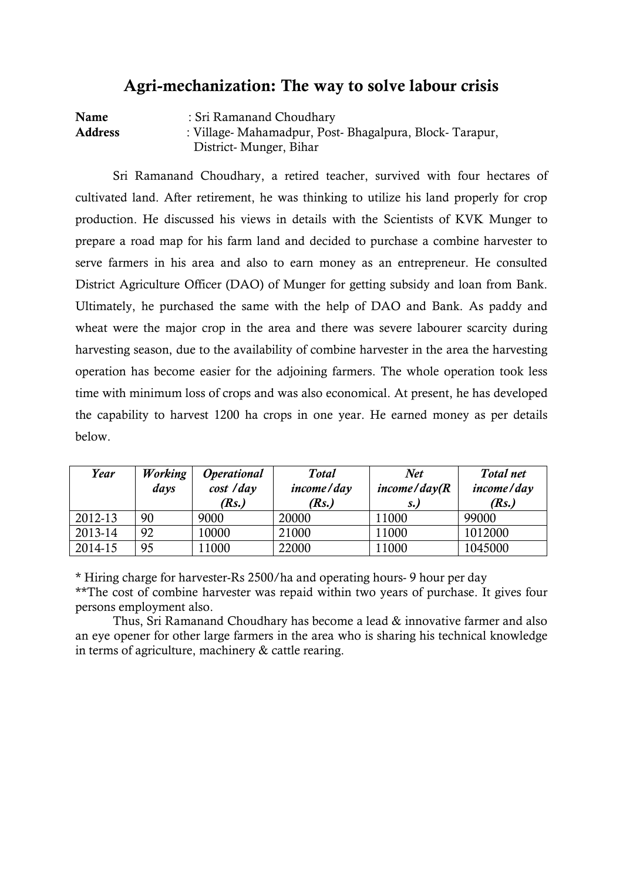#### **Agri-mechanization: The way to solve labour crisis**

**Name** : Sri Ramanand Choudhary **Address** : Village- Mahamadpur, Post- Bhagalpura, Block- Tarapur, District- Munger, Bihar

Sri Ramanand Choudhary, a retired teacher, survived with four hectares of cultivated land. After retirement, he was thinking to utilize his land properly for crop production. He discussed his views in details with the Scientists of KVK Munger to prepare a road map for his farm land and decided to purchase a combine harvester to serve farmers in his area and also to earn money as an entrepreneur. He consulted District Agriculture Officer (DAO) of Munger for getting subsidy and loan from Bank. Ultimately, he purchased the same with the help of DAO and Bank. As paddy and wheat were the major crop in the area and there was severe labourer scarcity during harvesting season, due to the availability of combine harvester in the area the harvesting operation has become easier for the adjoining farmers. The whole operation took less time with minimum loss of crops and was also economical. At present, he has developed the capability to harvest 1200 ha crops in one year. He earned money as per details below.

| Year    | <b>Working</b><br>days | <i><b>Operational</b></i><br>cost / day<br>(Rs.) | <b>Total</b><br>income/day<br>(Rs.) | <b>Net</b><br>income/day (R)<br>$S_{\bullet}$ | Total net<br>income/day<br>(Rs.) |
|---------|------------------------|--------------------------------------------------|-------------------------------------|-----------------------------------------------|----------------------------------|
| 2012-13 | 90                     | 9000                                             | 20000                               | 11000                                         | 99000                            |
| 2013-14 | 92                     | 10000                                            | 21000                               | 11000                                         | 1012000                          |
| 2014-15 | 95                     | 11000                                            | 22000                               | 11000                                         | 1045000                          |

\* Hiring charge for harvester-Rs 2500/ha and operating hours- 9 hour per day \*\*The cost of combine harvester was repaid within two years of purchase. It gives four persons employment also.

Thus, Sri Ramanand Choudhary has become a lead & innovative farmer and also an eye opener for other large farmers in the area who is sharing his technical knowledge in terms of agriculture, machinery & cattle rearing.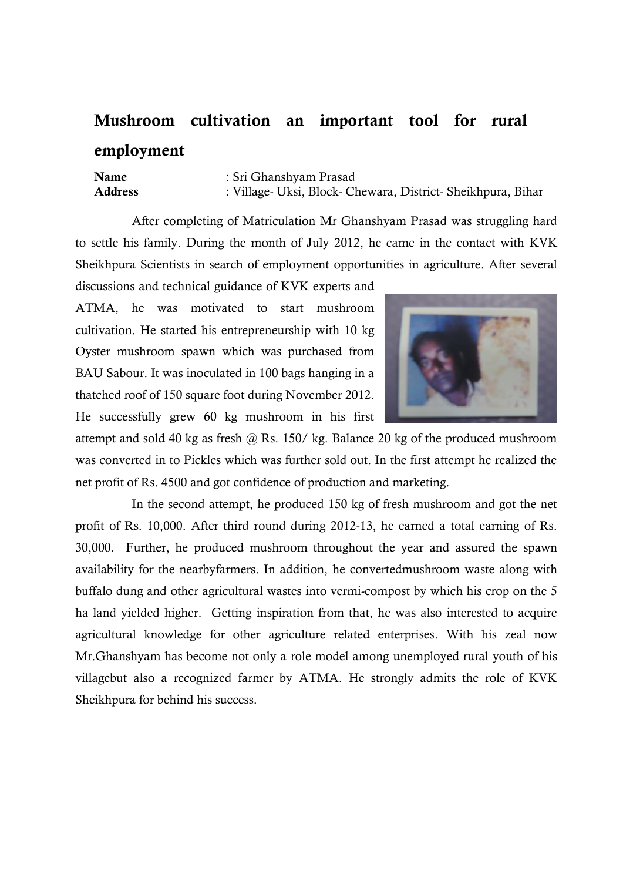## **Mushroom cultivation an important tool for rural employment**

**Name** : Sri Ghanshyam Prasad **Address** : Village- Uksi, Block- Chewara, District- Sheikhpura, Bihar

After completing of Matriculation Mr Ghanshyam Prasad was struggling hard to settle his family. During the month of July 2012, he came in the contact with KVK Sheikhpura Scientists in search of employment opportunities in agriculture. After several

discussions and technical guidance of KVK experts and ATMA, he was motivated to start mushroom cultivation. He started his entrepreneurship with 10 kg Oyster mushroom spawn which was purchased from BAU Sabour. It was inoculated in 100 bags hanging in a thatched roof of 150 square foot during November 2012. He successfully grew 60 kg mushroom in his first



attempt and sold 40 kg as fresh  $\omega$  Rs. 150/kg. Balance 20 kg of the produced mushroom was converted in to Pickles which was further sold out. In the first attempt he realized the net profit of Rs. 4500 and got confidence of production and marketing.

In the second attempt, he produced 150 kg of fresh mushroom and got the net profit of Rs. 10,000. After third round during 2012-13, he earned a total earning of Rs. 30,000. Further, he produced mushroom throughout the year and assured the spawn availability for the nearbyfarmers. In addition, he convertedmushroom waste along with buffalo dung and other agricultural wastes into vermi-compost by which his crop on the 5 ha land yielded higher. Getting inspiration from that, he was also interested to acquire agricultural knowledge for other agriculture related enterprises. With his zeal now Mr.Ghanshyam has become not only a role model among unemployed rural youth of his villagebut also a recognized farmer by ATMA. He strongly admits the role of KVK Sheikhpura for behind his success.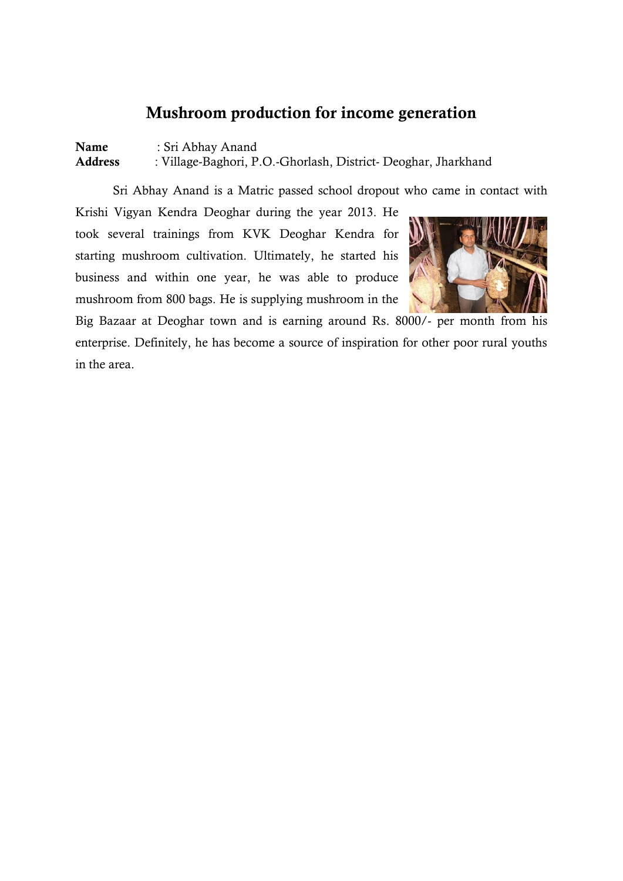### **Mushroom production for income generation**

**Name** : Sri Abhay Anand **Address** : Village-Baghori, P.O.-Ghorlash, District- Deoghar, Jharkhand

Sri Abhay Anand is a Matric passed school dropout who came in contact with

Krishi Vigyan Kendra Deoghar during the year 2013. He took several trainings from KVK Deoghar Kendra for starting mushroom cultivation. Ultimately, he started his business and within one year, he was able to produce mushroom from 800 bags. He is supplying mushroom in the



Big Bazaar at Deoghar town and is earning around Rs. 8000/- per month from his enterprise. Definitely, he has become a source of inspiration for other poor rural youths in the area.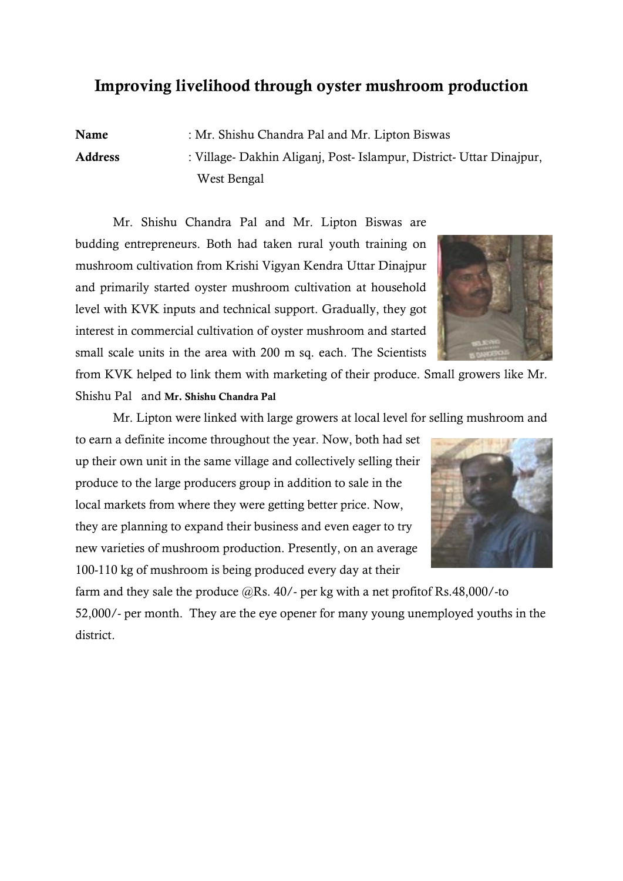#### **Improving livelihood through oyster mushroom production**

**Name** : Mr. Shishu Chandra Pal and Mr. Lipton Biswas **Address** : Village- Dakhin Aliganj, Post- Islampur, District- Uttar Dinajpur, West Bengal

Mr. Shishu Chandra Pal and Mr. Lipton Biswas are budding entrepreneurs. Both had taken rural youth training on mushroom cultivation from Krishi Vigyan Kendra Uttar Dinajpur and primarily started oyster mushroom cultivation at household level with KVK inputs and technical support. Gradually, they got interest in commercial cultivation of oyster mushroom and started small scale units in the area with 200 m sq. each. The Scientists

from KVK helped to link them with marketing of their produce. Small growers like Mr. Shishu Pal and **Mr. Shishu Chandra Pal**

Mr. Lipton were linked with large growers at local level for selling mushroom and

to earn a definite income throughout the year. Now, both had set up their own unit in the same village and collectively selling their produce to the large producers group in addition to sale in the local markets from where they were getting better price. Now, they are planning to expand their business and even eager to try new varieties of mushroom production. Presently, on an average 100-110 kg of mushroom is being produced every day at their

farm and they sale the produce  $@Rs. 40/-$  per kg with a net profitof Rs.48,000/-to 52,000/- per month. They are the eye opener for many young unemployed youths in the district.



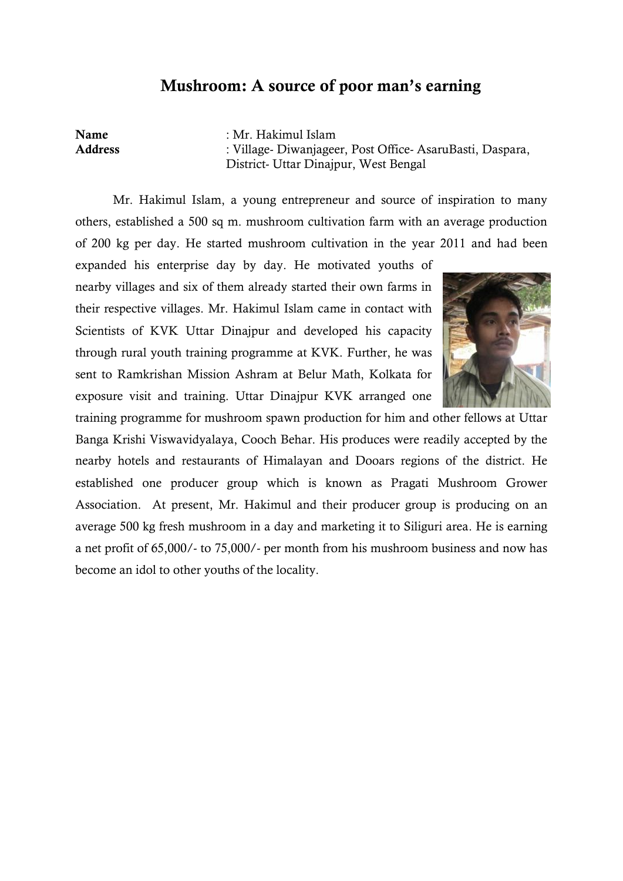#### **Mushroom: A source of poor man's earning**

**Name** : Mr. Hakimul Islam **Address** : Village- Diwanjageer, Post Office- AsaruBasti, Daspara, District- Uttar Dinajpur, West Bengal

Mr. Hakimul Islam, a young entrepreneur and source of inspiration to many others, established a 500 sq m. mushroom cultivation farm with an average production of 200 kg per day. He started mushroom cultivation in the year 2011 and had been

expanded his enterprise day by day. He motivated youths of nearby villages and six of them already started their own farms in their respective villages. Mr. Hakimul Islam came in contact with Scientists of KVK Uttar Dinajpur and developed his capacity through rural youth training programme at KVK. Further, he was sent to Ramkrishan Mission Ashram at Belur Math, Kolkata for exposure visit and training. Uttar Dinajpur KVK arranged one



training programme for mushroom spawn production for him and other fellows at Uttar Banga Krishi Viswavidyalaya, Cooch Behar. His produces were readily accepted by the nearby hotels and restaurants of Himalayan and Dooars regions of the district. He established one producer group which is known as Pragati Mushroom Grower Association. At present, Mr. Hakimul and their producer group is producing on an average 500 kg fresh mushroom in a day and marketing it to Siliguri area. He is earning a net profit of 65,000/- to 75,000/- per month from his mushroom business and now has become an idol to other youths of the locality.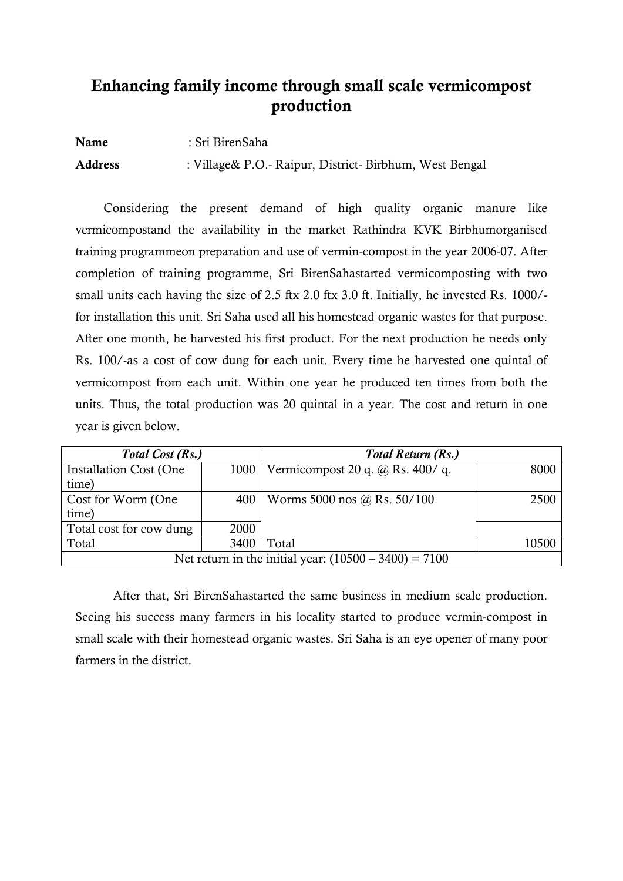## **Enhancing family income through small scale vermicompost production**

**Name** : Sri BirenSaha **Address** : Village& P.O.- Raipur, District- Birbhum, West Bengal

Considering the present demand of high quality organic manure like vermicompostand the availability in the market Rathindra KVK Birbhumorganised training programmeon preparation and use of vermin-compost in the year 2006-07. After completion of training programme, Sri BirenSahastarted vermicomposting with two small units each having the size of 2.5 ftx 2.0 ftx 3.0 ft. Initially, he invested Rs. 1000/ for installation this unit. Sri Saha used all his homestead organic wastes for that purpose. After one month, he harvested his first product. For the next production he needs only Rs. 100/-as a cost of cow dung for each unit. Every time he harvested one quintal of vermicompost from each unit. Within one year he produced ten times from both the units. Thus, the total production was 20 quintal in a year. The cost and return in one year is given below.

| Total Cost (Rs.)                                        |      | <b>Total Return (Rs.)</b>              |       |
|---------------------------------------------------------|------|----------------------------------------|-------|
| <b>Installation Cost (One</b>                           | 1000 | Vermicompost 20 q. $\omega$ Rs. 400/q. | 8000  |
| time)                                                   |      |                                        |       |
| Cost for Worm (One                                      | 400  | Worms 5000 nos @ Rs. $50/100$          | 2500  |
| time)                                                   |      |                                        |       |
| Total cost for cow dung                                 | 2000 |                                        |       |
| Total                                                   | 3400 | Total                                  | 10500 |
| Net return in the initial year: $(10500 - 3400) = 7100$ |      |                                        |       |

After that, Sri BirenSahastarted the same business in medium scale production. Seeing his success many farmers in his locality started to produce vermin-compost in small scale with their homestead organic wastes. Sri Saha is an eye opener of many poor farmers in the district.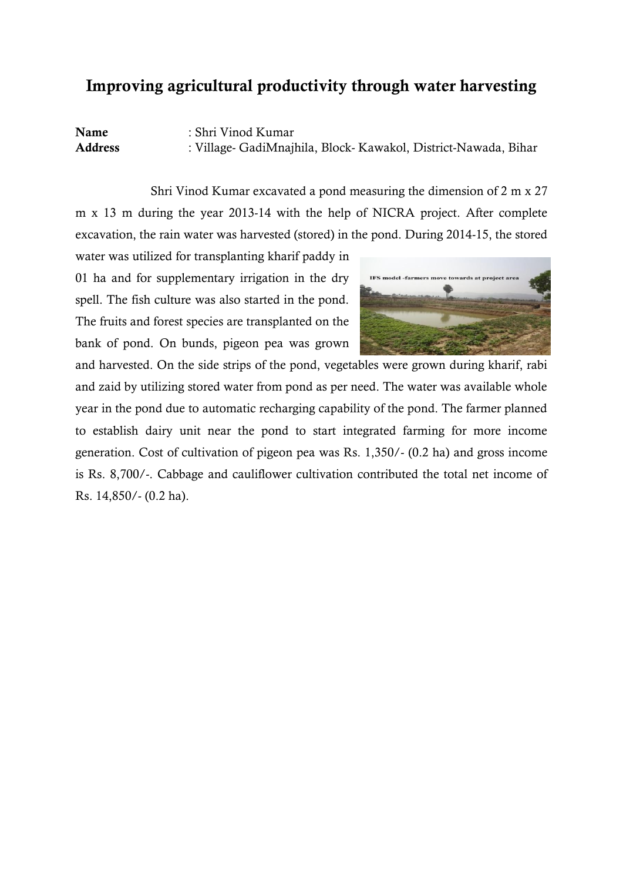#### **Improving agricultural productivity through water harvesting**

**Name** : Shri Vinod Kumar **Address** : Village- GadiMnajhila, Block- Kawakol, District-Nawada, Bihar

Shri Vinod Kumar excavated a pond measuring the dimension of 2 m x 27 m x 13 m during the year 2013-14 with the help of NICRA project. After complete excavation, the rain water was harvested (stored) in the pond. During 2014-15, the stored

water was utilized for transplanting kharif paddy in 01 ha and for supplementary irrigation in the dry spell. The fish culture was also started in the pond. The fruits and forest species are transplanted on the bank of pond. On bunds, pigeon pea was grown



and harvested. On the side strips of the pond, vegetables were grown during kharif, rabi and zaid by utilizing stored water from pond as per need. The water was available whole year in the pond due to automatic recharging capability of the pond. The farmer planned to establish dairy unit near the pond to start integrated farming for more income generation. Cost of cultivation of pigeon pea was Rs. 1,350/- (0.2 ha) and gross income is Rs. 8,700/-. Cabbage and cauliflower cultivation contributed the total net income of Rs. 14,850/- (0.2 ha).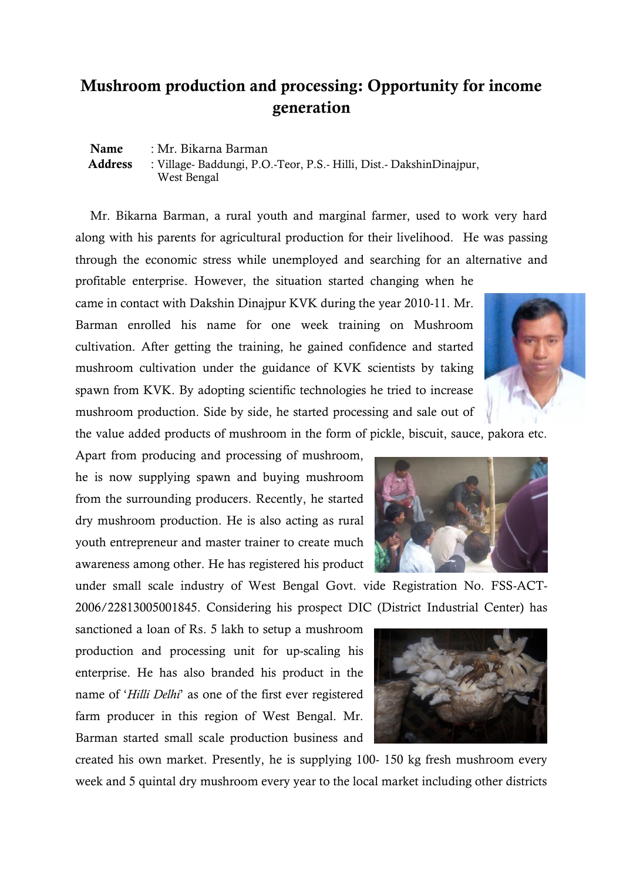## **Mushroom production and processing: Opportunity for income generation**

**Name** : Mr. Bikarna Barman  **Address** : Village- Baddungi, P.O.-Teor, P.S.- Hilli, Dist.- DakshinDinajpur, West Bengal

Mr. Bikarna Barman, a rural youth and marginal farmer, used to work very hard along with his parents for agricultural production for their livelihood. He was passing through the economic stress while unemployed and searching for an alternative and profitable enterprise. However, the situation started changing when he

came in contact with Dakshin Dinajpur KVK during the year 2010-11. Mr. Barman enrolled his name for one week training on Mushroom cultivation. After getting the training, he gained confidence and started mushroom cultivation under the guidance of KVK scientists by taking spawn from KVK. By adopting scientific technologies he tried to increase mushroom production. Side by side, he started processing and sale out of



the value added products of mushroom in the form of pickle, biscuit, sauce, pakora etc.

Apart from producing and processing of mushroom, he is now supplying spawn and buying mushroom from the surrounding producers. Recently, he started dry mushroom production. He is also acting as rural youth entrepreneur and master trainer to create much awareness among other. He has registered his product

under small scale industry of West Bengal Govt. vide Registration No. FSS-ACT-2006/22813005001845. Considering his prospect DIC (District Industrial Center) has

sanctioned a loan of Rs. 5 lakh to setup a mushroom production and processing unit for up-scaling his enterprise. He has also branded his product in the name of "*Hilli Delhi*" as one of the first ever registered farm producer in this region of West Bengal. Mr. Barman started small scale production business and

created his own market. Presently, he is supplying 100- 150 kg fresh mushroom every week and 5 quintal dry mushroom every year to the local market including other districts



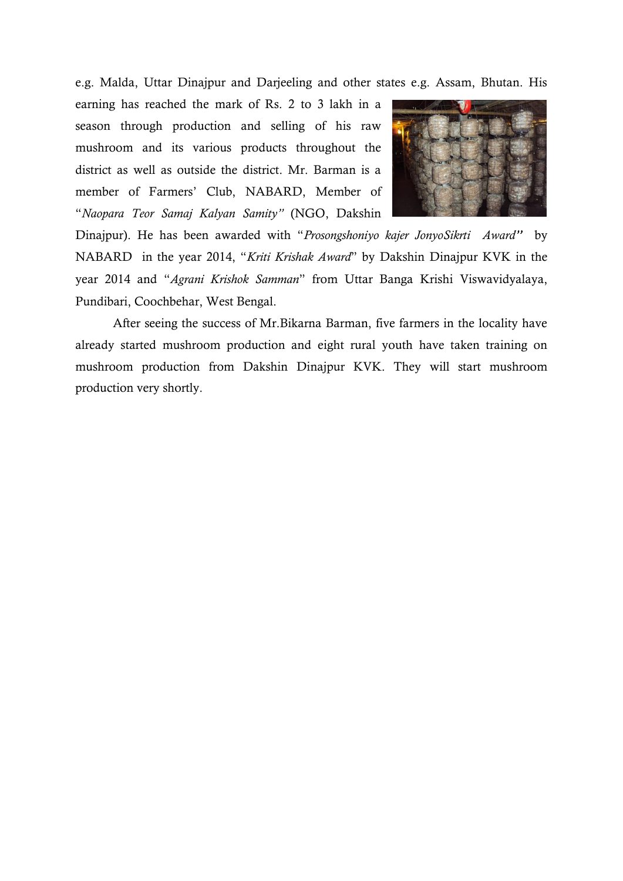e.g. Malda, Uttar Dinajpur and Darjeeling and other states e.g. Assam, Bhutan. His

earning has reached the mark of Rs. 2 to 3 lakh in a season through production and selling of his raw mushroom and its various products throughout the district as well as outside the district. Mr. Barman is a member of Farmers" Club, NABARD, Member of "*Naopara Teor Samaj Kalyan Samity"* (NGO, Dakshin



Dinajpur). He has been awarded with "*Prosongshoniyo kajer JonyoSikrti Award''* by NABARD in the year 2014, "*Kriti Krishak Award*" by Dakshin Dinajpur KVK in the year 2014 and "*Agrani Krishok Samman*" from Uttar Banga Krishi Viswavidyalaya, Pundibari, Coochbehar, West Bengal.

After seeing the success of Mr.Bikarna Barman, five farmers in the locality have already started mushroom production and eight rural youth have taken training on mushroom production from Dakshin Dinajpur KVK. They will start mushroom production very shortly.